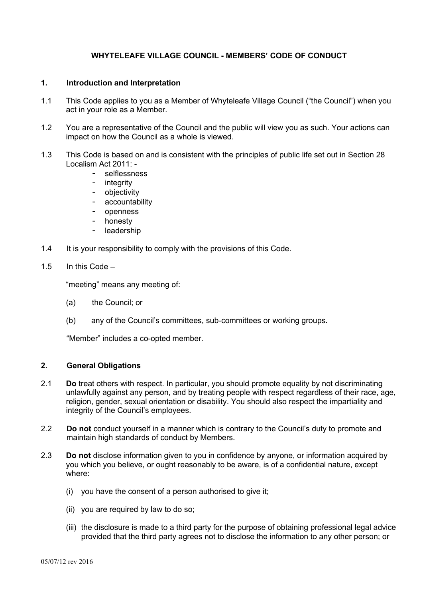# **WHYTELEAFE VILLAGE COUNCIL - MEMBERS' CODE OF CONDUCT**

# **1. Introduction and Interpretation**

- 1.1 This Code applies to you as a Member of Whyteleafe Village Council ("the Council") when you act in your role as a Member.
- 1.2 You are a representative of the Council and the public will view you as such. Your actions can impact on how the Council as a whole is viewed.
- 1.3 This Code is based on and is consistent with the principles of public life set out in Section 28 Localism Act 2011: -
	- selflessness
	- integrity
	- objectivity
	- accountability
	- openness
	- honesty
	- leadership
- 1.4 It is your responsibility to comply with the provisions of this Code.
- 1.5 In this Code –

"meeting" means any meeting of:

- (a) the Council; or
- (b) any of the Council's committees, sub-committees or working groups.

"Member" includes a co-opted member.

# **2. General Obligations**

- 2.1 **Do** treat others with respect. In particular, you should promote equality by not discriminating unlawfully against any person, and by treating people with respect regardless of their race, age, religion, gender, sexual orientation or disability. You should also respect the impartiality and integrity of the Council's employees.
- 2.2 **Do not** conduct yourself in a manner which is contrary to the Council's duty to promote and maintain high standards of conduct by Members.
- 2.3 **Do not** disclose information given to you in confidence by anyone, or information acquired by you which you believe, or ought reasonably to be aware, is of a confidential nature, except where:
	- (i) you have the consent of a person authorised to give it;
	- (ii) you are required by law to do so;
	- (iii) the disclosure is made to a third party for the purpose of obtaining professional legal advice provided that the third party agrees not to disclose the information to any other person; or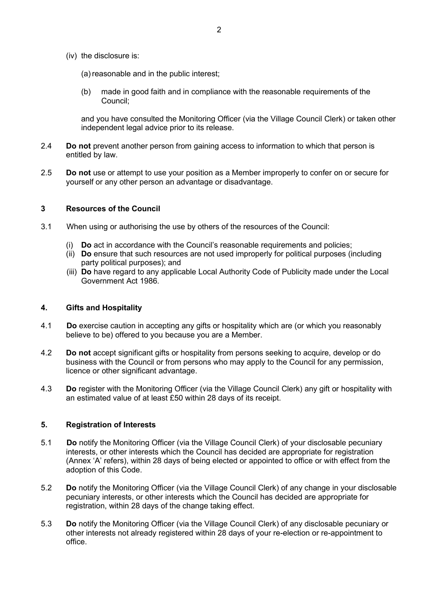- (iv) the disclosure is:
	- (a) reasonable and in the public interest;
	- (b) made in good faith and in compliance with the reasonable requirements of the Council;

and you have consulted the Monitoring Officer (via the Village Council Clerk) or taken other independent legal advice prior to its release.

- 2.4 **Do not** prevent another person from gaining access to information to which that person is entitled by law.
- 2.5 **Do not** use or attempt to use your position as a Member improperly to confer on or secure for yourself or any other person an advantage or disadvantage.

# **3 Resources of the Council**

- 3.1 When using or authorising the use by others of the resources of the Council:
	- (i) **Do** act in accordance with the Council's reasonable requirements and policies;
	- (ii) **Do** ensure that such resources are not used improperly for political purposes (including party political purposes); and
	- (iii) **Do** have regard to any applicable Local Authority Code of Publicity made under the Local Government Act 1986.

# **4. Gifts and Hospitality**

- 4.1 **Do** exercise caution in accepting any gifts or hospitality which are (or which you reasonably believe to be) offered to you because you are a Member.
- 4.2 **Do not** accept significant gifts or hospitality from persons seeking to acquire, develop or do business with the Council or from persons who may apply to the Council for any permission, licence or other significant advantage.
- 4.3 **Do** register with the Monitoring Officer (via the Village Council Clerk) any gift or hospitality with an estimated value of at least £50 within 28 days of its receipt.

### **5. Registration of Interests**

- 5.1 **Do** notify the Monitoring Officer (via the Village Council Clerk) of your disclosable pecuniary interests, or other interests which the Council has decided are appropriate for registration (Annex 'A' refers), within 28 days of being elected or appointed to office or with effect from the adoption of this Code.
- 5.2 **Do** notify the Monitoring Officer (via the Village Council Clerk) of any change in your disclosable pecuniary interests, or other interests which the Council has decided are appropriate for registration, within 28 days of the change taking effect.
- 5.3 **Do** notify the Monitoring Officer (via the Village Council Clerk) of any disclosable pecuniary or other interests not already registered within 28 days of your re-election or re-appointment to office.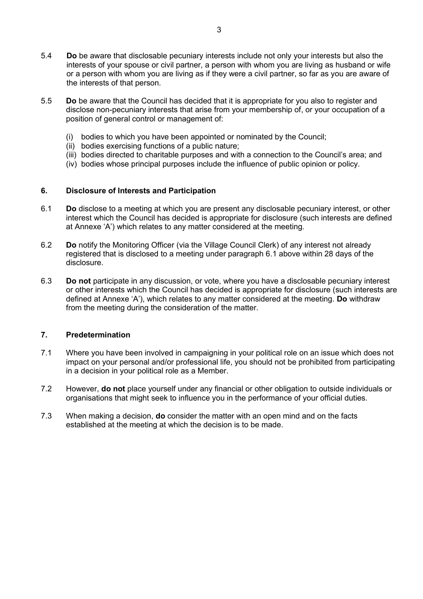- 5.4 **Do** be aware that disclosable pecuniary interests include not only your interests but also the interests of your spouse or civil partner, a person with whom you are living as husband or wife or a person with whom you are living as if they were a civil partner, so far as you are aware of the interests of that person.
- 5.5 **Do** be aware that the Council has decided that it is appropriate for you also to register and disclose non-pecuniary interests that arise from your membership of, or your occupation of a position of general control or management of:
	- (i) bodies to which you have been appointed or nominated by the Council;
	- (ii) bodies exercising functions of a public nature;
	- (iii) bodies directed to charitable purposes and with a connection to the Council's area; and
	- (iv) bodies whose principal purposes include the influence of public opinion or policy.

# **6. Disclosure of Interests and Participation**

- 6.1 **Do** disclose to a meeting at which you are present any disclosable pecuniary interest, or other interest which the Council has decided is appropriate for disclosure (such interests are defined at Annexe 'A') which relates to any matter considered at the meeting.
- 6.2 **Do** notify the Monitoring Officer (via the Village Council Clerk) of any interest not already registered that is disclosed to a meeting under paragraph 6.1 above within 28 days of the disclosure.
- 6.3 **Do not** participate in any discussion, or vote, where you have a disclosable pecuniary interest or other interests which the Council has decided is appropriate for disclosure (such interests are defined at Annexe 'A'), which relates to any matter considered at the meeting. **Do** withdraw from the meeting during the consideration of the matter.

# **7. Predetermination**

- 7.1 Where you have been involved in campaigning in your political role on an issue which does not impact on your personal and/or professional life, you should not be prohibited from participating in a decision in your political role as a Member.
- 7.2 However, **do not** place yourself under any financial or other obligation to outside individuals or organisations that might seek to influence you in the performance of your official duties.
- 7.3 When making a decision, **do** consider the matter with an open mind and on the facts established at the meeting at which the decision is to be made.